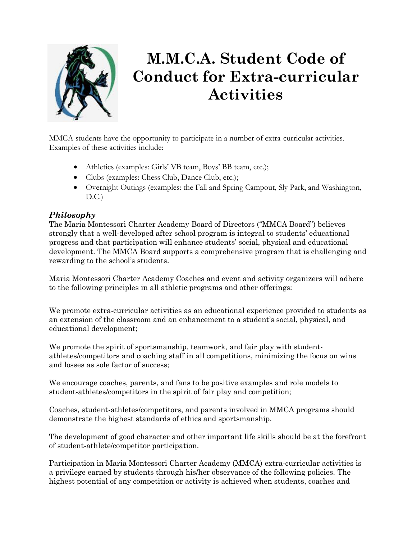

# **M.M.C.A. Student Code of Conduct for Extra-curricular Activities**

MMCA students have the opportunity to participate in a number of extra-curricular activities. Examples of these activities include:

- Athletics (examples: Girls' VB team, Boys' BB team, etc.);
- Clubs (examples: Chess Club, Dance Club, etc.);
- Overnight Outings (examples: the Fall and Spring Campout, Sly Park, and Washington,  $D.C.$ )

## *Philosophy*

The Maria Montessori Charter Academy Board of Directors ("MMCA Board") believes strongly that a well-developed after school program is integral to students' educational progress and that participation will enhance students' social, physical and educational development. The MMCA Board supports a comprehensive program that is challenging and rewarding to the school's students.

Maria Montessori Charter Academy Coaches and event and activity organizers will adhere to the following principles in all athletic programs and other offerings:

We promote extra-curricular activities as an educational experience provided to students as an extension of the classroom and an enhancement to a student's social, physical, and educational development;

We promote the spirit of sportsmanship, teamwork, and fair play with studentathletes/competitors and coaching staff in all competitions, minimizing the focus on wins and losses as sole factor of success;

We encourage coaches, parents, and fans to be positive examples and role models to student-athletes/competitors in the spirit of fair play and competition;

Coaches, student-athletes/competitors, and parents involved in MMCA programs should demonstrate the highest standards of ethics and sportsmanship.

The development of good character and other important life skills should be at the forefront of student-athlete/competitor participation.

Participation in Maria Montessori Charter Academy (MMCA) extra-curricular activities is a privilege earned by students through his/her observance of the following policies. The highest potential of any competition or activity is achieved when students, coaches and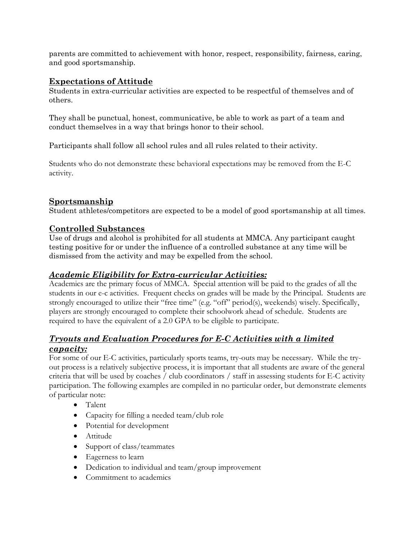parents are committed to achievement with honor, respect, responsibility, fairness, caring, and good sportsmanship.

#### **Expectations of Attitude**

Students in extra-curricular activities are expected to be respectful of themselves and of others.

They shall be punctual, honest, communicative, be able to work as part of a team and conduct themselves in a way that brings honor to their school.

Participants shall follow all school rules and all rules related to their activity.

Students who do not demonstrate these behavioral expectations may be removed from the E-C activity.

## **Sportsmanship**

Student athletes/competitors are expected to be a model of good sportsmanship at all times.

#### **Controlled Substances**

Use of drugs and alcohol is prohibited for all students at MMCA. Any participant caught testing positive for or under the influence of a controlled substance at any time will be dismissed from the activity and may be expelled from the school.

## *Academic Eligibility for Extra-curricular Activities:*

Academics are the primary focus of MMCA. Special attention will be paid to the grades of all the students in our e-c activities. Frequent checks on grades will be made by the Principal. Students are strongly encouraged to utilize their "free time" (e.g. "off" period(s), weekends) wisely. Specifically, players are strongly encouraged to complete their schoolwork ahead of schedule. Students are required to have the equivalent of a 2.0 GPA to be eligible to participate.

## *Tryouts and Evaluation Procedures for E-C Activities with a limited capacity:*

For some of our E-C activities, particularly sports teams, try-outs may be necessary. While the tryout process is a relatively subjective process, it is important that all students are aware of the general criteria that will be used by coaches / club coordinators / staff in assessing students for E-C activity participation. The following examples are compiled in no particular order, but demonstrate elements of particular note:

- Talent
- Capacity for filling a needed team/club role
- Potential for development
- Attitude
- Support of class/teammates
- Eagerness to learn
- Dedication to individual and team/group improvement
- Commitment to academics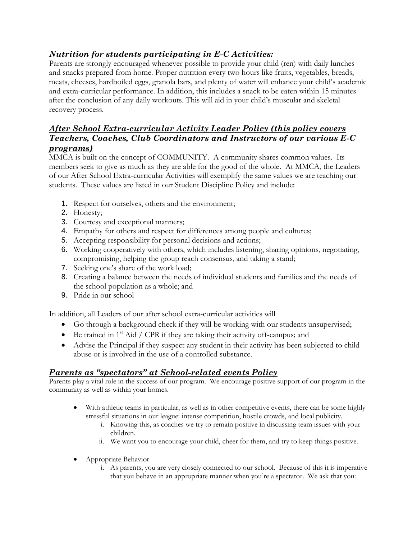## *Nutrition for students participating in E-C Activities:*

Parents are strongly encouraged whenever possible to provide your child (ren) with daily lunches and snacks prepared from home. Proper nutrition every two hours like fruits, vegetables, breads, meats, cheeses, hardboiled eggs, granola bars, and plenty of water will enhance your child's academic and extra-curricular performance. In addition, this includes a snack to be eaten within 15 minutes after the conclusion of any daily workouts. This will aid in your child's muscular and skeletal recovery process.

## *After School Extra-curricular Activity Leader Policy (this policy covers Teachers, Coaches, Club Coordinators and Instructors of our various E-C programs)*

MMCA is built on the concept of COMMUNITY. A community shares common values. Its members seek to give as much as they are able for the good of the whole. At MMCA, the Leaders of our After School Extra-curricular Activities will exemplify the same values we are teaching our students. These values are listed in our Student Discipline Policy and include:

- 1. Respect for ourselves, others and the environment;
- 2. Honesty;
- 3. Courtesy and exceptional manners;
- 4. Empathy for others and respect for differences among people and cultures;
- 5. Accepting responsibility for personal decisions and actions;
- 6. Working cooperatively with others, which includes listening, sharing opinions, negotiating, compromising, helping the group reach consensus, and taking a stand;
- 7. Seeking one's share of the work load;
- 8. Creating a balance between the needs of individual students and families and the needs of the school population as a whole; and
- 9. Pride in our school

In addition, all Leaders of our after school extra-curricular activities will

- Go through a background check if they will be working with our students unsupervised;
- $\bullet$  Be trained in 1<sup>st</sup> Aid / CPR if they are taking their activity off-campus; and
- Advise the Principal if they suspect any student in their activity has been subjected to child abuse or is involved in the use of a controlled substance.

## *Parents as "spectators" at School-related events Policy*

Parents play a vital role in the success of our program. We encourage positive support of our program in the community as well as within your homes.

- With athletic teams in particular, as well as in other competitive events, there can be some highly stressful situations in our league: intense competition, hostile crowds, and local publicity.
	- i. Knowing this, as coaches we try to remain positive in discussing team issues with your children.
	- ii. We want you to encourage your child, cheer for them, and try to keep things positive.
- Appropriate Behavior
	- i. As parents, you are very closely connected to our school. Because of this it is imperative that you behave in an appropriate manner when you're a spectator. We ask that you: